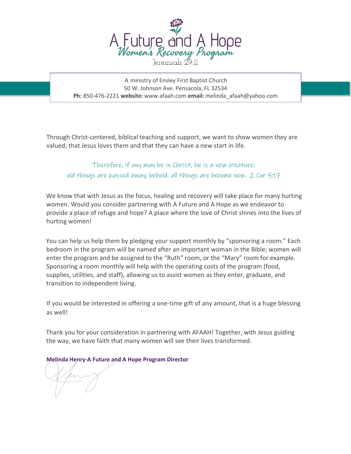

A ministry of Ensley First Baptist Church 50 W. Johnson Ave. Pensacola, FL 32534 **Ph:** 850-476-2221 **website:** www.afaah.com **email:** melinda\_afaah@yahoo.com

Through Christ-centered, biblical teaching and support, we want to show women they are valued; that Jesus loves them and that they can have a new start in life.

Therefore, if any man be in Christ, he is a new creature: old things are passed away; behold, all things are become new. 2 Cor 5:17

We know that with Jesus as the focus, healing and recovery will take place for many hurting women. Would you consider partnering with A Future and A Hope as we endeavor to provide a place of refuge and hope? A place where the love of Christ shines into the lives of hurting women!

You can help us help them by pledging your support monthly by "sponsoring a room." Each bedroom in the program will be named after an important woman in the Bible; women will enter the program and be assigned to the "Ruth" room, or the "Mary" room for example. Sponsoring a room monthly will help with the operating costs of the program (food, supplies, utilities, and staff), allowing us to assist women as they enter, graduate, and transition to independent living.

If you would be interested in offering a one-time gift of any amount, that is a huge blessing as well!

Thank you for your consideration in partnering with AFAAH! Together, with Jesus guiding the way, we have faith that many women will see their lives transformed.

**Melinda Henry-A Future and A Hope Program Director**